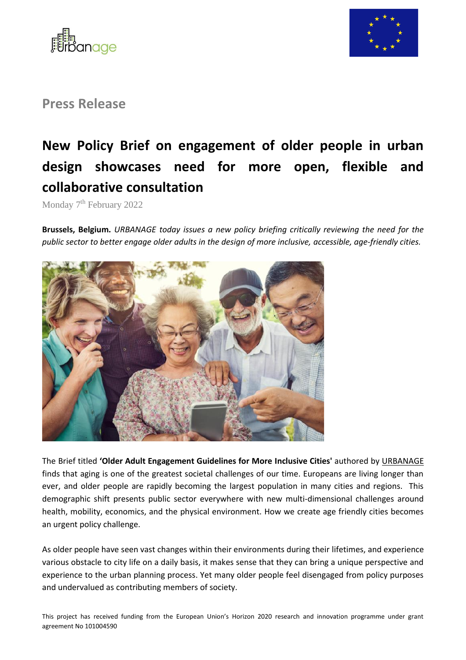



**Press Release** 

## **New Policy Brief on engagement of older people in urban design showcases need for more open, flexible and collaborative consultation**

Monday 7<sup>th</sup> February 2022

**Brussels, Belgium.** *URBANAGE today issues a new policy briefing critically reviewing the need for the public sector to better engage older adults in the design of more inclusive, accessible, age-friendly cities.*



The Brief titled **'Older Adult Engagement Guidelines for More Inclusive Cities'** authored by [URBANAGE](http://www.urbanage.eu/) finds that aging is one of the greatest societal challenges of our time. Europeans are living longer than ever, and older people are rapidly becoming the largest population in many cities and regions. This demographic shift presents public sector everywhere with new multi-dimensional challenges around health, mobility, economics, and the physical environment. How we create age friendly cities becomes an urgent policy challenge.

As older people have seen vast changes within their environments during their lifetimes, and experience various obstacle to city life on a daily basis, it makes sense that they can bring a unique perspective and experience to the urban planning process. Yet many older people feel disengaged from policy purposes and undervalued as contributing members of society.

This project has received funding from the European Union's Horizon 2020 research and innovation programme under grant agreement No 101004590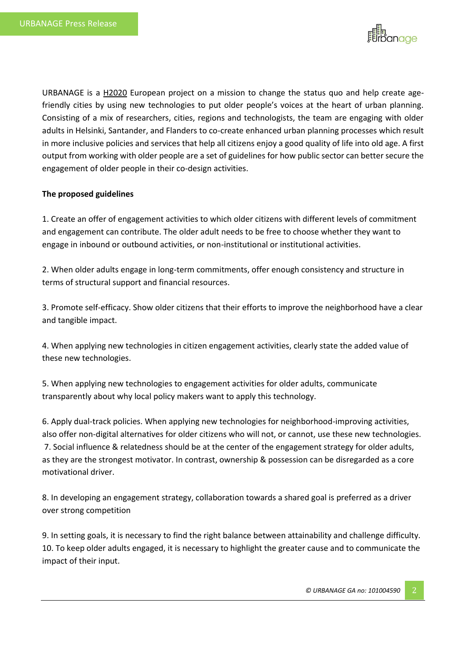

URBANAGE is a [H2020](https://ec.europa.eu/info/funding-tenders/opportunities/portal/screen/programmes/h2020) European project on a mission to change the status quo and help create agefriendly cities by using new technologies to put older people's voices at the heart of urban planning. Consisting of a mix of researchers, cities, regions and technologists, the team are engaging with older adults in Helsinki, Santander, and Flanders to co-create enhanced urban planning processes which result in more inclusive policies and services that help all citizens enjoy a good quality of life into old age. A first output from working with older people are a set of guidelines for how public sector can better secure the engagement of older people in their co-design activities.

## **The proposed guidelines**

1. Create an offer of engagement activities to which older citizens with different levels of commitment and engagement can contribute. The older adult needs to be free to choose whether they want to engage in inbound or outbound activities, or non-institutional or institutional activities.

2. When older adults engage in long-term commitments, offer enough consistency and structure in terms of structural support and financial resources.

3. Promote self-efficacy. Show older citizens that their efforts to improve the neighborhood have a clear and tangible impact.

4. When applying new technologies in citizen engagement activities, clearly state the added value of these new technologies.

5. When applying new technologies to engagement activities for older adults, communicate transparently about why local policy makers want to apply this technology.

6. Apply dual-track policies. When applying new technologies for neighborhood-improving activities, also offer non-digital alternatives for older citizens who will not, or cannot, use these new technologies. 7. Social influence & relatedness should be at the center of the engagement strategy for older adults, as they are the strongest motivator. In contrast, ownership & possession can be disregarded as a core motivational driver.

8. In developing an engagement strategy, collaboration towards a shared goal is preferred as a driver over strong competition

9. In setting goals, it is necessary to find the right balance between attainability and challenge difficulty. 10. To keep older adults engaged, it is necessary to highlight the greater cause and to communicate the impact of their input.